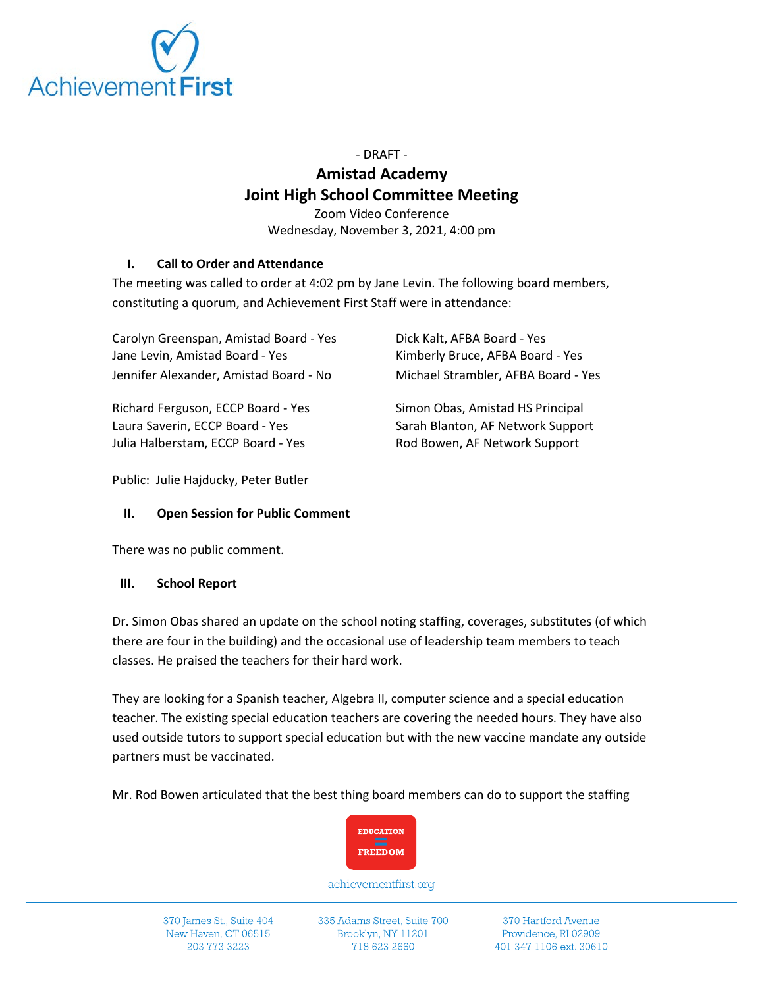

- DRAFT -

# **Amistad Academy Joint High School Committee Meeting**

Zoom Video Conference Wednesday, November 3, 2021, 4:00 pm

## **I. Call to Order and Attendance**

The meeting was called to order at 4:02 pm by Jane Levin. The following board members, constituting a quorum, and Achievement First Staff were in attendance:

| Carolyn Greenspan, Amistad Board - Yes<br>Jane Levin, Amistad Board - Yes<br>Jennifer Alexander, Amistad Board - No | Dick Kalt, AFBA Board - Yes<br>Kimberly Bruce, AFBA Board - Yes<br>Michael Strambler, AFBA Board - Yes |
|---------------------------------------------------------------------------------------------------------------------|--------------------------------------------------------------------------------------------------------|
|                                                                                                                     |                                                                                                        |
| Laura Saverin, ECCP Board - Yes                                                                                     | Sarah Blanton, AF Network Support                                                                      |

Julia Halberstam, ECCP Board - Yes Rod Bowen, AF Network Support

Public: Julie Hajducky, Peter Butler

## **II. Open Session for Public Comment**

There was no public comment.

## **III. School Report**

Dr. Simon Obas shared an update on the school noting staffing, coverages, substitutes (of which there are four in the building) and the occasional use of leadership team members to teach classes. He praised the teachers for their hard work.

They are looking for a Spanish teacher, Algebra II, computer science and a special education teacher. The existing special education teachers are covering the needed hours. They have also used outside tutors to support special education but with the new vaccine mandate any outside partners must be vaccinated.

Mr. Rod Bowen articulated that the best thing board members can do to support the staffing



achievementfirst.org

370 James St., Suite 404 New Haven, CT 06515 203 773 3223

335 Adams Street, Suite 700 Brooklyn, NY 11201 718 623 2660

370 Hartford Avenue Providence, RI 02909 401 347 1106 ext. 30610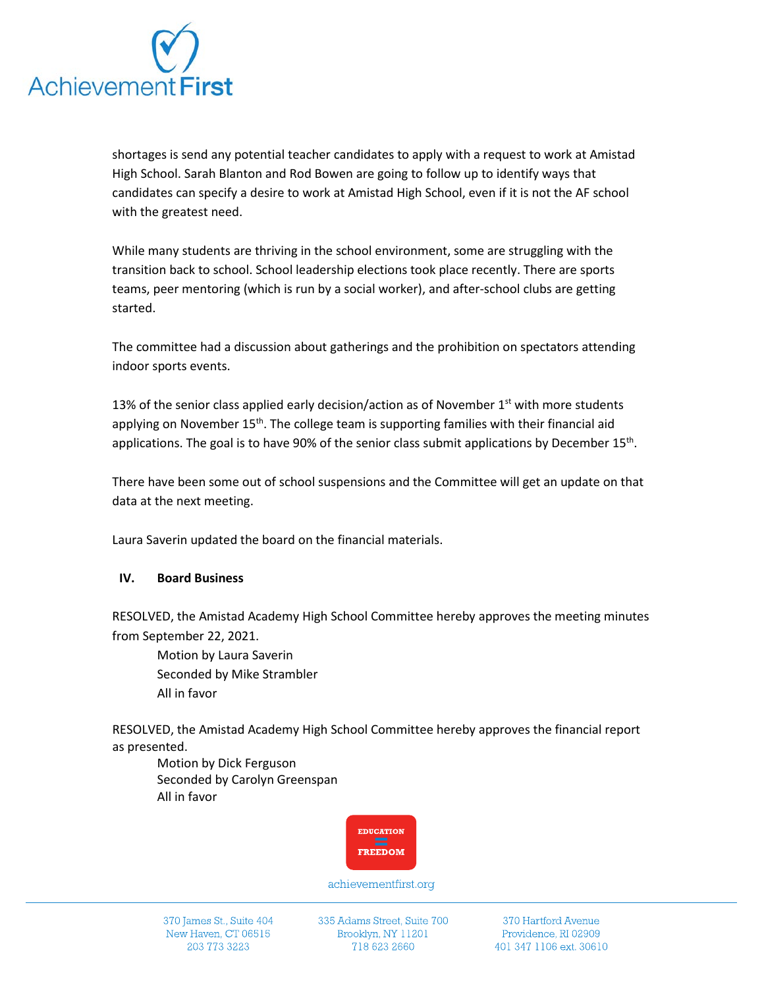

shortages is send any potential teacher candidates to apply with a request to work at Amistad High School. Sarah Blanton and Rod Bowen are going to follow up to identify ways that candidates can specify a desire to work at Amistad High School, even if it is not the AF school with the greatest need.

While many students are thriving in the school environment, some are struggling with the transition back to school. School leadership elections took place recently. There are sports teams, peer mentoring (which is run by a social worker), and after-school clubs are getting started.

The committee had a discussion about gatherings and the prohibition on spectators attending indoor sports events.

13% of the senior class applied early decision/action as of November  $1<sup>st</sup>$  with more students applying on November  $15<sup>th</sup>$ . The college team is supporting families with their financial aid applications. The goal is to have 90% of the senior class submit applications by December  $15<sup>th</sup>$ .

There have been some out of school suspensions and the Committee will get an update on that data at the next meeting.

Laura Saverin updated the board on the financial materials.

#### **IV. Board Business**

RESOLVED, the Amistad Academy High School Committee hereby approves the meeting minutes from September 22, 2021.

Motion by Laura Saverin Seconded by Mike Strambler All in favor

RESOLVED, the Amistad Academy High School Committee hereby approves the financial report as presented.

Motion by Dick Ferguson Seconded by Carolyn Greenspan All in favor



achievementfirst.org

335 Adams Street, Suite 700 Brooklyn, NY 11201 718 623 2660

370 Hartford Avenue Providence, RI 02909 401 347 1106 ext. 30610